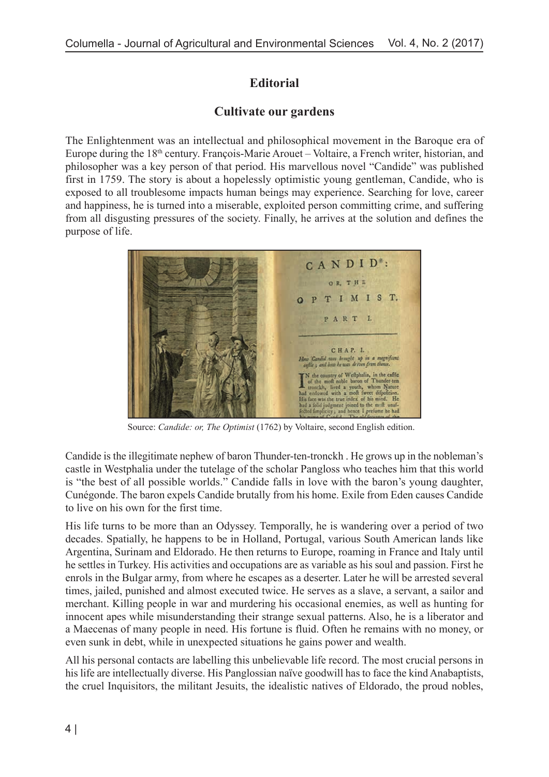## **Editorial**

## **Cultivate our gardens**

The Enlightenment was an intellectual and philosophical movement in the Baroque era of Europe during the 18<sup>th</sup> century. François-Marie Arouet – Voltaire, a French writer, historian, and philosopher was a key person of that period. His marvellous novel "Candide" was published first in 1759. The story is about a hopelessly optimistic young gentleman, Candide, who is exposed to all troublesome impacts human beings may experience. Searching for love, career and happiness, he is turned into a miserable, exploited person committing crime, and suffering from all disgusting pressures of the society. Finally, he arrives at the solution and defines the purpose of life.



Source: *Candide: or, The Optimist* (1762) by Voltaire, second English edition.

Candide is the illegitimate nephew of baron Thunder-ten-tronckh . He grows up in the nobleman's castle in Westphalia under the tutelage of the scholar Pangloss who teaches him that this world is "the best of all possible worlds." Candide falls in love with the baron's young daughter, Cunégonde. The baron expels Candide brutally from his home. Exile from Eden causes Candide to live on his own for the first time.

His life turns to be more than an Odyssey. Temporally, he is wandering over a period of two decades. Spatially, he happens to be in Holland, Portugal, various South American lands like Argentina, Surinam and Eldorado. He then returns to Europe, roaming in France and Italy until he settles in Turkey. His activities and occupations are as variable as his soul and passion. First he enrols in the Bulgar army, from where he escapes as a deserter. Later he will be arrested several times, jailed, punished and almost executed twice. He serves as a slave, a servant, a sailor and merchant. Killing people in war and murdering his occasional enemies, as well as hunting for innocent apes while misunderstanding their strange sexual patterns. Also, he is a liberator and a Maecenas of many people in need. His fortune is fluid. Often he remains with no money, or even sunk in debt, while in unexpected situations he gains power and wealth.

All his personal contacts are labelling this unbelievable life record. The most crucial persons in his life are intellectually diverse. His Panglossian naïve goodwill has to face the kind Anabaptists, the cruel Inquisitors, the militant Jesuits, the idealistic natives of Eldorado, the proud nobles,